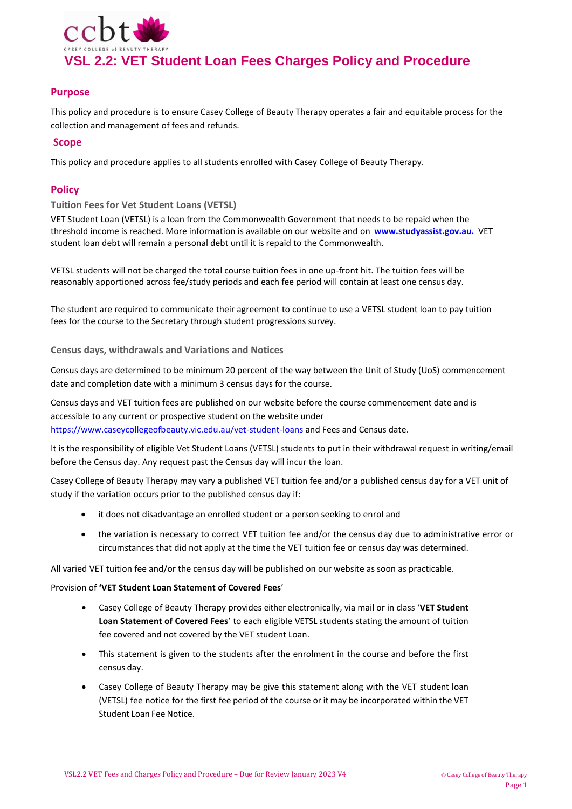

# **Purpose**

This policy and procedure is to ensure Casey College of Beauty Therapy operates a fair and equitable process for the collection and management of fees and refunds.

## **Scope**

This policy and procedure applies to all students enrolled with Casey College of Beauty Therapy.

# **Policy**

## **Tuition Fees for Vet Student Loans (VETSL)**

VET Student Loan (VETSL) is a loan from the Commonwealth Government that needs to be repaid when the threshold income is reached. More information is available on our website and on **[www.studyassist.gov.au.](http://www.studyassist.gov.au./)** VET student loan debt will remain a personal debt until it is repaid to the Commonwealth.

VETSL students will not be charged the total course tuition fees in one up-front hit. The tuition fees will be reasonably apportioned across fee/study periods and each fee period will contain at least one census day.

The student are required to communicate their agreement to continue to use a VETSL student loan to pay tuition fees for the course to the Secretary through student progressions survey.

**Census days, withdrawals and Variations and Notices** 

Census days are determined to be minimum 20 percent of the way between the Unit of Study (UoS) commencement date and completion date with a minimum 3 census days for the course.

Census days and VET tuition fees are published on our website before the course commencement date and is accessible to any current or prospective student on the website under

<https://www.caseycollegeofbeauty.vic.edu.au/vet-student-loans> and Fees and Census date.

It is the responsibility of eligible Vet Student Loans (VETSL) students to put in their withdrawal request in writing/email before the Census day. Any request past the Census day will incur the loan.

Casey College of Beauty Therapy may vary a published VET tuition fee and/or a published census day for a VET unit of study if the variation occurs prior to the published census day if:

- it does not disadvantage an enrolled student or a person seeking to enrol and
- the variation is necessary to correct VET tuition fee and/or the census day due to administrative error or circumstances that did not apply at the time the VET tuition fee or census day was determined.

All varied VET tuition fee and/or the census day will be published on our website as soon as practicable.

## Provision of **'VET Student Loan Statement of Covered Fees**'

- Casey College of Beauty Therapy provides either electronically, via mail or in class '**VET Student Loan Statement of Covered Fees**' to each eligible VETSL students stating the amount of tuition fee covered and not covered by the VET student Loan.
- This statement is given to the students after the enrolment in the course and before the first census day.
- Casey College of Beauty Therapy may be give this statement along with the VET student loan (VETSL) fee notice for the first fee period of the course or it may be incorporated within the VET Student Loan Fee Notice.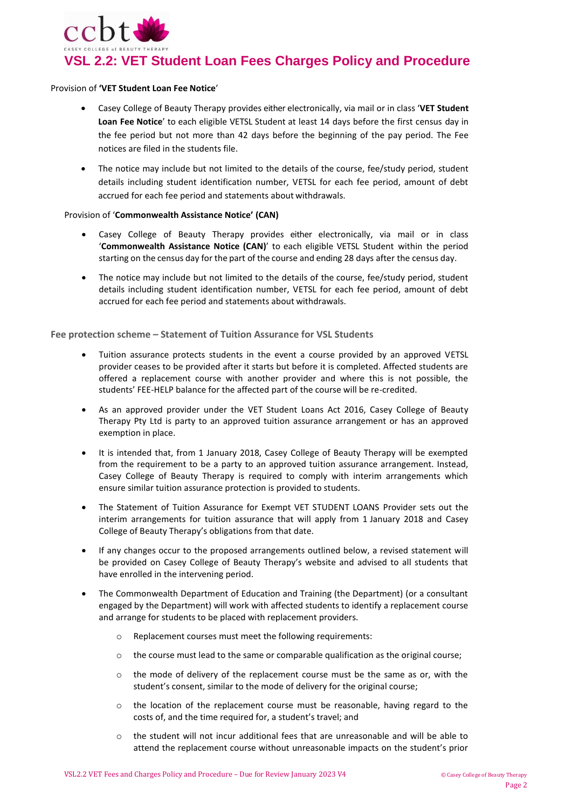

#### Provision of **'VET Student Loan Fee Notice**'

- Casey College of Beauty Therapy provides either electronically, via mail or in class '**VET Student Loan Fee Notice**' to each eligible VETSL Student at least 14 days before the first census day in the fee period but not more than 42 days before the beginning of the pay period. The Fee notices are filed in the students file.
- The notice may include but not limited to the details of the course, fee/study period, student details including student identification number, VETSL for each fee period, amount of debt accrued for each fee period and statements about withdrawals.

## Provision of '**Commonwealth Assistance Notice' (CAN)**

- Casey College of Beauty Therapy provides either electronically, via mail or in class '**Commonwealth Assistance Notice (CAN)**' to each eligible VETSL Student within the period starting on the census day for the part of the course and ending 28 days after the census day.
- The notice may include but not limited to the details of the course, fee/study period, student details including student identification number, VETSL for each fee period, amount of debt accrued for each fee period and statements about withdrawals.

**Fee protection scheme – Statement of Tuition Assurance for VSL Students**

- Tuition assurance protects students in the event a course provided by an approved VETSL provider ceases to be provided after it starts but before it is completed. Affected students are offered a replacement course with another provider and where this is not possible, the students' FEE-HELP balance for the affected part of the course will be re-credited.
- As an approved provider under the VET Student Loans Act 2016, Casey College of Beauty Therapy Pty Ltd is party to an approved tuition assurance arrangement or has an approved exemption in place.
- It is intended that, from 1 January 2018, Casey College of Beauty Therapy will be exempted from the requirement to be a party to an approved tuition assurance arrangement. Instead, Casey College of Beauty Therapy is required to comply with interim arrangements which ensure similar tuition assurance protection is provided to students.
- The Statement of Tuition Assurance for Exempt VET STUDENT LOANS Provider sets out the interim arrangements for tuition assurance that will apply from 1 January 2018 and Casey College of Beauty Therapy's obligations from that date.
- If any changes occur to the proposed arrangements outlined below, a revised statement will be provided on Casey College of Beauty Therapy's website and advised to all students that have enrolled in the intervening period.
- The Commonwealth Department of Education and Training (the Department) (or a consultant engaged by the Department) will work with affected students to identify a replacement course and arrange for students to be placed with replacement providers.
	- o Replacement courses must meet the following requirements:
	- $\circ$  the course must lead to the same or comparable qualification as the original course;
	- $\circ$  the mode of delivery of the replacement course must be the same as or, with the student's consent, similar to the mode of delivery for the original course;
	- $\circ$  the location of the replacement course must be reasonable, having regard to the costs of, and the time required for, a student's travel; and
	- $\circ$  the student will not incur additional fees that are unreasonable and will be able to attend the replacement course without unreasonable impacts on the student's prior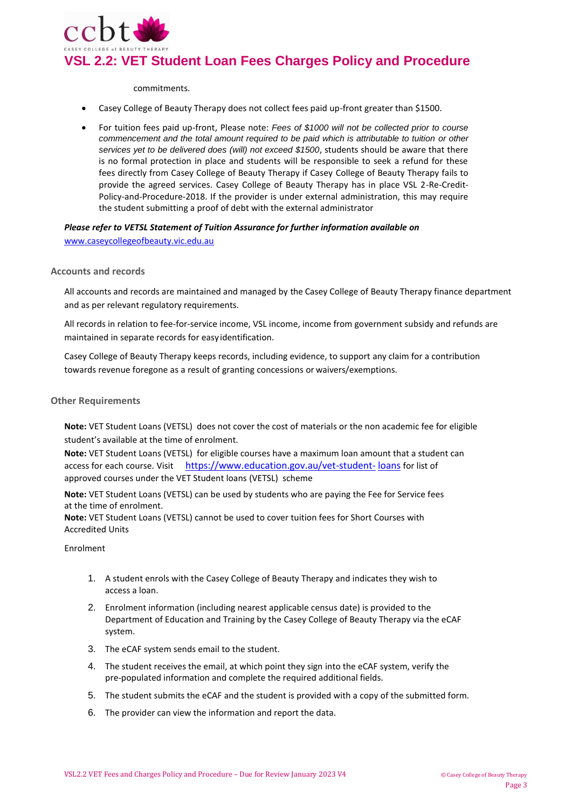

#### commitments.

- Casey College of Beauty Therapy does not collect fees paid up-front greater than \$1500.
- For tuition fees paid up-front, Please note: *Fees of \$1000 will not be collected prior to course commencement and the total amount required to be paid which is attributable to tuition or other services yet to be delivered does (will) not exceed \$1500*, students should be aware that there is no formal protection in place and students will be responsible to seek a refund for these fees directly from Casey College of Beauty Therapy if Casey College of Beauty Therapy fails to provide the agreed services. Casey College of Beauty Therapy has in place VSL 2-Re-Credit-Policy-and-Procedure-2018. If the provider is under external administration, this may require the student submitting a proof of debt with the external administrator

*Please refer to VETSL Statement of Tuition Assurance for further information available on* [www.caseycollegeofbeauty.v](http://www.caseycollegeofbeauty./)ic.edu.au

#### **Accounts and records**

All accounts and records are maintained and managed by the Casey College of Beauty Therapy finance department and as per relevant regulatory requirements.

All records in relation to fee-for-service income, VSL income, income from government subsidy and refunds are maintained in separate records for easy identification.

Casey College of Beauty Therapy keeps records, including evidence, to support any claim for a contribution towards revenue foregone as a result of granting concessions or waivers/exemptions.

#### **Other Requirements**

**Note:** VET Student Loans (VETSL) does not cover the cost of materials or the non academic fee for eligible student's available at the time of enrolment.

**Note:** VET Student Loans (VETSL) for eligible courses have a maximum loan amount that a student can access for each course. Visit [https://www.education.gov.au/vet-student-](https://www.education.gov.au/vet-student-loans) [loans](https://www.education.gov.au/vet-student-loans) for list of approved courses under the VET Student loans (VETSL) scheme

**Note:** VET Student Loans (VETSL) can be used by students who are paying the Fee for Service fees at the time of enrolment.

**Note:** VET Student Loans (VETSL) cannot be used to cover tuition fees for Short Courses with Accredited Units

#### Enrolment

- 1. A student enrols with the Casey College of Beauty Therapy and indicates they wish to access a loan.
- 2. Enrolment information (including nearest applicable census date) is provided to the Department of Education and Training by the Casey College of Beauty Therapy via the eCAF system.
- 3. The eCAF system sends email to the student.
- 4. The student receives the email, at which point they sign into the eCAF system, verify the pre-populated information and complete the required additional fields.
- 5. The student submits the eCAF and the student is provided with a copy of the submitted form.
- 6. The provider can view the information and report the data.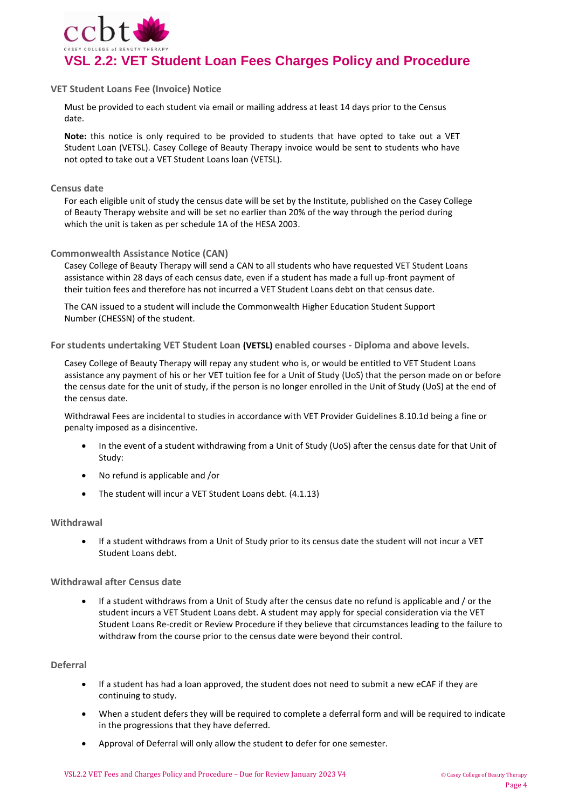

## **VET Student Loans Fee (Invoice) Notice**

Must be provided to each student via email or mailing address at least 14 days prior to the Census date.

**Note:** this notice is only required to be provided to students that have opted to take out a VET Student Loan (VETSL). Casey College of Beauty Therapy invoice would be sent to students who have not opted to take out a VET Student Loans loan (VETSL).

## **Census date**

For each eligible unit of study the census date will be set by the Institute, published on the Casey College of Beauty Therapy website and will be set no earlier than 20% of the way through the period during which the unit is taken as per schedule 1A of the HESA 2003.

## **Commonwealth Assistance Notice (CAN)**

Casey College of Beauty Therapy will send a CAN to all students who have requested VET Student Loans assistance within 28 days of each census date, even if a student has made a full up-front payment of their tuition fees and therefore has not incurred a VET Student Loans debt on that census date.

The CAN issued to a student will include the Commonwealth Higher Education Student Support Number (CHESSN) of the student.

**For students undertaking VET Student Loan (VETSL) enabled courses - Diploma and above levels.**

Casey College of Beauty Therapy will repay any student who is, or would be entitled to VET Student Loans assistance any payment of his or her VET tuition fee for a Unit of Study (UoS) that the person made on or before the census date for the unit of study, if the person is no longer enrolled in the Unit of Study (UoS) at the end of the census date.

Withdrawal Fees are incidental to studies in accordance with VET Provider Guidelines 8.10.1d being a fine or penalty imposed as a disincentive.

- In the event of a student withdrawing from a Unit of Study (UoS) after the census date for that Unit of Study:
- No refund is applicable and /or
- The student will incur a VET Student Loans debt. (4.1.13)

## **Withdrawal**

 If a student withdraws from a Unit of Study prior to its census date the student will not incur a VET Student Loans debt.

## **Withdrawal after Census date**

 If a student withdraws from a Unit of Study after the census date no refund is applicable and / or the student incurs a VET Student Loans debt. A student may apply for special consideration via the VET Student Loans Re-credit or Review Procedure if they believe that circumstances leading to the failure to withdraw from the course prior to the census date were beyond their control.

## **Deferral**

- If a student has had a loan approved, the student does not need to submit a new eCAF if they are continuing to study.
- When a student defers they will be required to complete a deferral form and will be required to indicate in the progressions that they have deferred.
- Approval of Deferral will only allow the student to defer for one semester.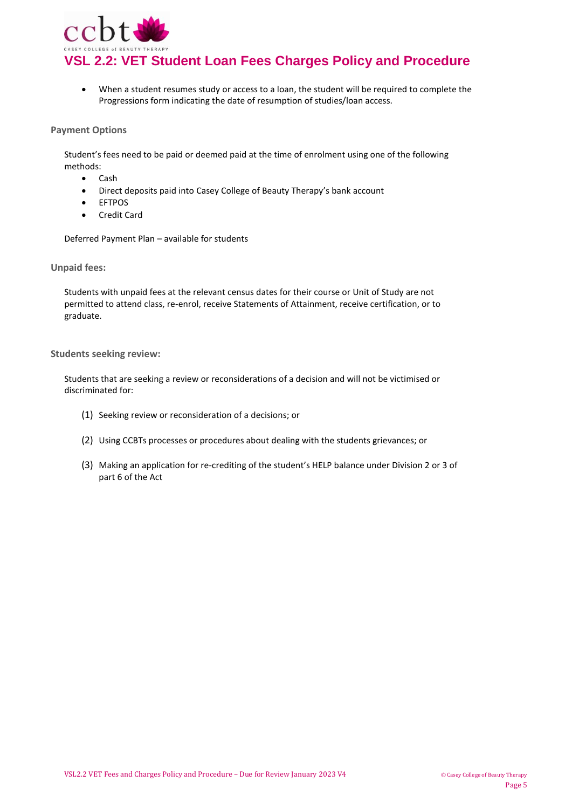

**VSL 2.2: VET Student Loan Fees Charges Policy and Procedure**

 When a student resumes study or access to a loan, the student will be required to complete the Progressions form indicating the date of resumption of studies/loan access.

## **Payment Options**

Student's fees need to be paid or deemed paid at the time of enrolment using one of the following methods:

- Cash
- Direct deposits paid into Casey College of Beauty Therapy's bank account
- EFTPOS
- Credit Card

Deferred Payment Plan – available for students

**Unpaid fees:**

Students with unpaid fees at the relevant census dates for their course or Unit of Study are not permitted to attend class, re-enrol, receive Statements of Attainment, receive certification, or to graduate.

**Students seeking review:**

Students that are seeking a review or reconsiderations of a decision and will not be victimised or discriminated for:

- (1) Seeking review or reconsideration of a decisions; or
- (2) Using CCBTs processes or procedures about dealing with the students grievances; or
- (3) Making an application for re-crediting of the student's HELP balance under Division 2 or 3 of part 6 of the Act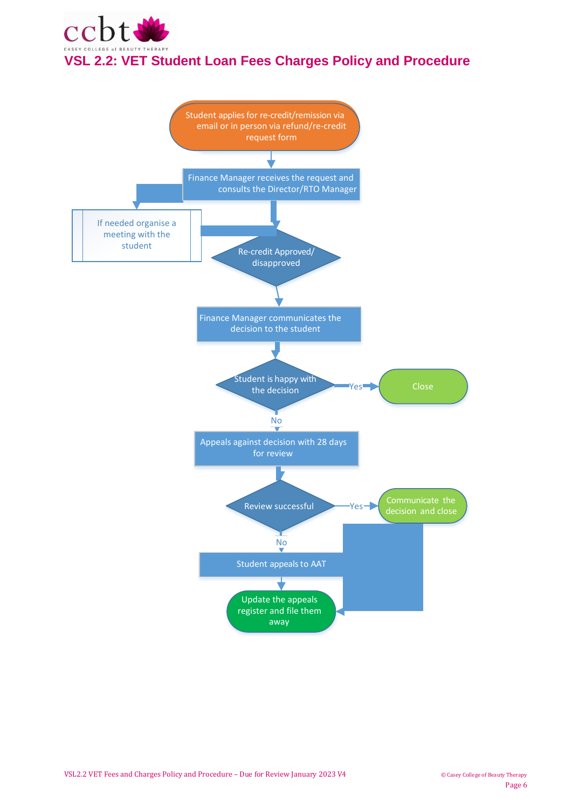

# **VSL 2.2: VET Student Loan Fees Charges Policy and Procedure**